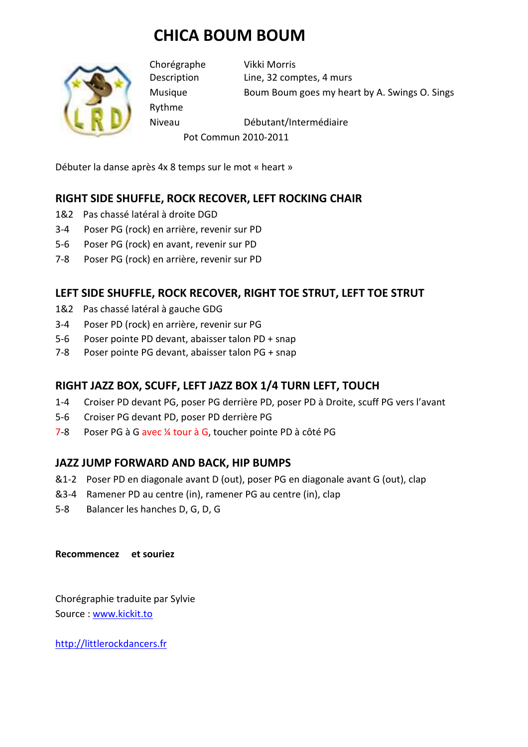## **CHICA BOUM BOUM**



Rythme

Chorégraphe Vikki Morris Description Line, 32 comptes, 4 murs Musique Boum Boum goes my heart by A. Swings O. Sings

Niveau Débutant/Intermédiaire Pot Commun 2010-2011

Débuter la danse après 4x 8 temps sur le mot « heart »

### **RIGHT SIDE SHUFFLE, ROCK RECOVER, LEFT ROCKING CHAIR**

- 1&2 Pas chassé latéral à droite DGD
- 3-4 Poser PG (rock) en arrière, revenir sur PD
- 5-6 Poser PG (rock) en avant, revenir sur PD
- 7-8 Poser PG (rock) en arrière, revenir sur PD

#### **LEFT SIDE SHUFFLE, ROCK RECOVER, RIGHT TOE STRUT, LEFT TOE STRUT**

- 1&2 Pas chassé latéral à gauche GDG
- 3-4 Poser PD (rock) en arrière, revenir sur PG
- 5-6 Poser pointe PD devant, abaisser talon PD + snap
- 7-8 Poser pointe PG devant, abaisser talon PG + snap

#### **RIGHT JAZZ BOX, SCUFF, LEFT JAZZ BOX 1/4 TURN LEFT, TOUCH**

- 1-4 Croiser PD devant PG, poser PG derrière PD, poser PD à Droite, scuff PG vers l'avant
- 5-6 Croiser PG devant PD, poser PD derrière PG
- 7-8 Poser PG à G avec ¼ tour à G, toucher pointe PD à côté PG

#### **JAZZ JUMP FORWARD AND BACK, HIP BUMPS**

- &1-2 Poser PD en diagonale avant D (out), poser PG en diagonale avant G (out), clap
- &3-4 Ramener PD au centre (in), ramener PG au centre (in), clap
- 5-8 Balancer les hanches D, G, D, G

**Recommencez et souriez** 

Chorégraphie traduite par Sylvie Source : www.kickit.to

http://littlerockdancers.fr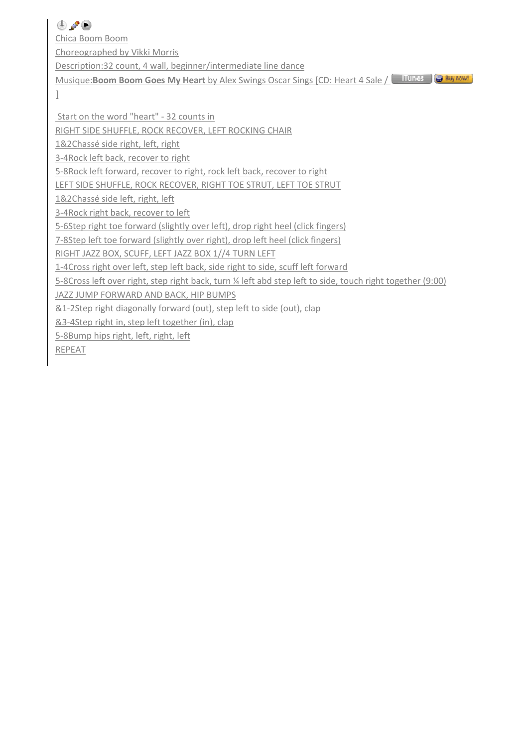

Chica Boom Boom

Choreographed by Vikki Morris

Description:32 count, 4 wall, beginner/intermediate line dance

Musique: Boom Boom Goes My Heart by Alex Swings Oscar Sings [CD: Heart 4 Sale / **Tunes** 8 Buy now 1

]

Start on the word "heart" - 32 counts in

RIGHT SIDE SHUFFLE, ROCK RECOVER, LEFT ROCKING CHAIR

1&2Chassé side right, left, right

3-4Rock left back, recover to right

5-8Rock left forward, recover to right, rock left back, recover to right

LEFT SIDE SHUFFLE, ROCK RECOVER, RIGHT TOE STRUT, LEFT TOE STRUT

1&2Chassé side left, right, left

3-4Rock right back, recover to left

5-6Step right toe forward (slightly over left), drop right heel (click fingers)

7-8Step left toe forward (slightly over right), drop left heel (click fingers)

RIGHT JAZZ BOX, SCUFF, LEFT JAZZ BOX 1//4 TURN LEFT

1-4Cross right over left, step left back, side right to side, scuff left forward

5-8Cross left over right, step right back, turn ¼ left abd step left to side, touch right together (9:00)

JAZZ JUMP FORWARD AND BACK, HIP BUMPS

&1-2Step right diagonally forward (out), step left to side (out), clap

&3-4Step right in, step left together (in), clap

5-8Bump hips right, left, right, left

REPEAT